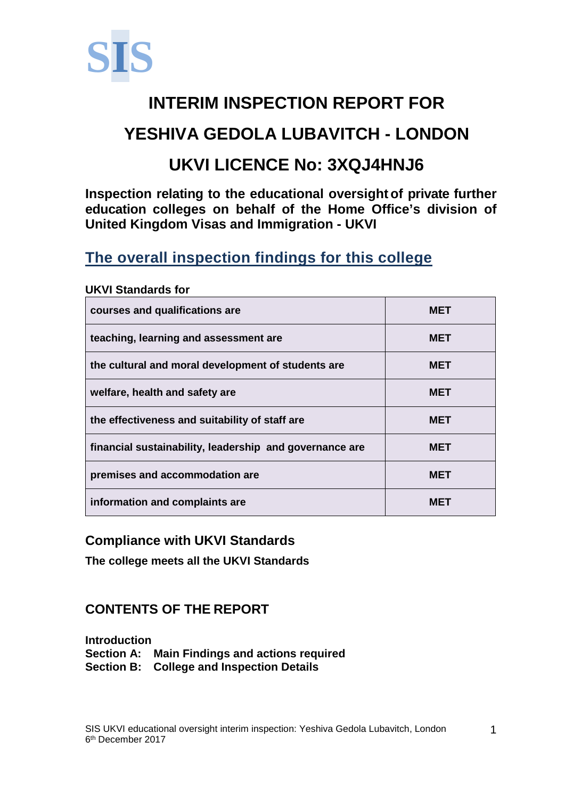

# **INTERIM INSPECTION REPORT FOR YESHIVA GEDOLA LUBAVITCH - LONDON**

# **UKVI LICENCE No: 3XQJ4HNJ6**

**Inspection relating to the educational oversight of private further education colleges on behalf of the Home Office's division of United Kingdom Visas and Immigration - UKVI**

## **The overall inspection findings for this college**

| courses and qualifications are                          | <b>MET</b> |
|---------------------------------------------------------|------------|
| teaching, learning and assessment are                   | <b>MET</b> |
| the cultural and moral development of students are      | <b>MET</b> |
| welfare, health and safety are                          | <b>MET</b> |
| the effectiveness and suitability of staff are          | <b>MET</b> |
| financial sustainability, leadership and governance are | <b>MET</b> |
| premises and accommodation are                          | <b>MET</b> |
| information and complaints are                          | MET        |

#### **UKVI Standards for**

#### **Compliance with UKVI Standards**

**The college meets all the UKVI Standards**

### **CONTENTS OF THE REPORT**

**Introduction Section A: Main Findings and actions required Section B: College and Inspection Details**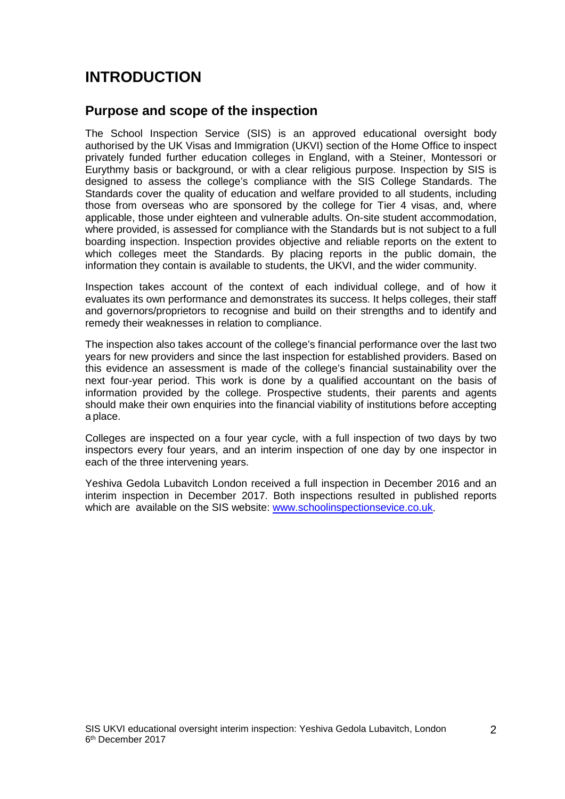## **INTRODUCTION**

#### **Purpose and scope of the inspection**

The School Inspection Service (SIS) is an approved educational oversight body authorised by the UK Visas and Immigration (UKVI) section of the Home Office to inspect privately funded further education colleges in England, with a Steiner, Montessori or Eurythmy basis or background, or with a clear religious purpose. Inspection by SIS is designed to assess the college's compliance with the SIS College Standards. The Standards cover the quality of education and welfare provided to all students, including those from overseas who are sponsored by the college for Tier 4 visas, and, where applicable, those under eighteen and vulnerable adults. On-site student accommodation, where provided, is assessed for compliance with the Standards but is not subject to a full boarding inspection. Inspection provides objective and reliable reports on the extent to which colleges meet the Standards. By placing reports in the public domain, the information they contain is available to students, the UKVI, and the wider community.

Inspection takes account of the context of each individual college, and of how it evaluates its own performance and demonstrates its success. It helps colleges, their staff and governors/proprietors to recognise and build on their strengths and to identify and remedy their weaknesses in relation to compliance.

The inspection also takes account of the college's financial performance over the last two years for new providers and since the last inspection for established providers. Based on this evidence an assessment is made of the college's financial sustainability over the next four-year period. This work is done by a qualified accountant on the basis of information provided by the college. Prospective students, their parents and agents should make their own enquiries into the financial viability of institutions before accepting a place.

Colleges are inspected on a four year cycle, with a full inspection of two days by two inspectors every four years, and an interim inspection of one day by one inspector in each of the three intervening years.

Yeshiva Gedola Lubavitch London received a full inspection in December 2016 and an interim inspection in December 2017. Both inspections resulted in published reports which are available on the SIS website: [www.schoolinspectionsevice.co.uk.](http://www.schoolinspectionsevice.co.uk/)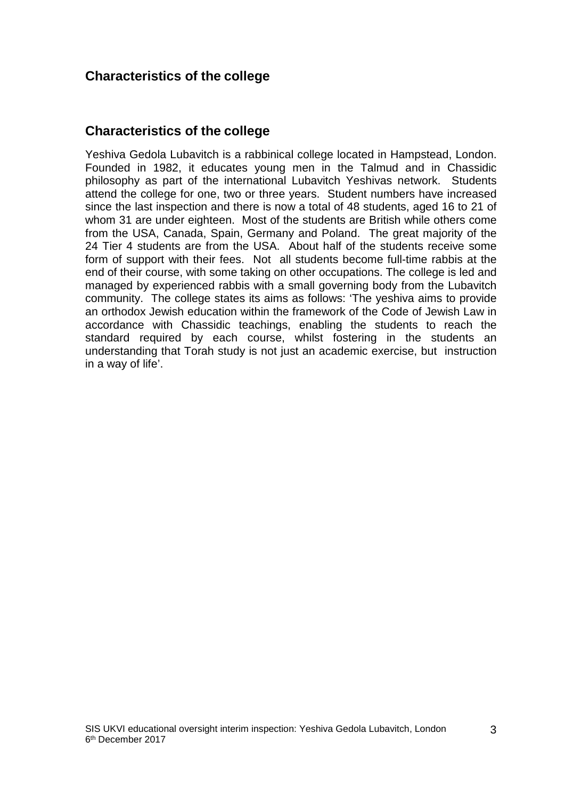#### **Characteristics of the college**

#### **Characteristics of the college**

Yeshiva Gedola Lubavitch is a rabbinical college located in Hampstead, London. Founded in 1982, it educates young men in the Talmud and in Chassidic philosophy as part of the international Lubavitch Yeshivas network. Students attend the college for one, two or three years. Student numbers have increased since the last inspection and there is now a total of 48 students, aged 16 to 21 of whom 31 are under eighteen. Most of the students are British while others come from the USA, Canada, Spain, Germany and Poland. The great majority of the 24 Tier 4 students are from the USA. About half of the students receive some form of support with their fees. Not all students become full-time rabbis at the end of their course, with some taking on other occupations. The college is led and managed by experienced rabbis with a small governing body from the Lubavitch community. The college states its aims as follows: 'The yeshiva aims to provide an orthodox Jewish education within the framework of the Code of Jewish Law in accordance with Chassidic teachings, enabling the students to reach the standard required by each course, whilst fostering in the students an understanding that Torah study is not just an academic exercise, but instruction in a way of life'.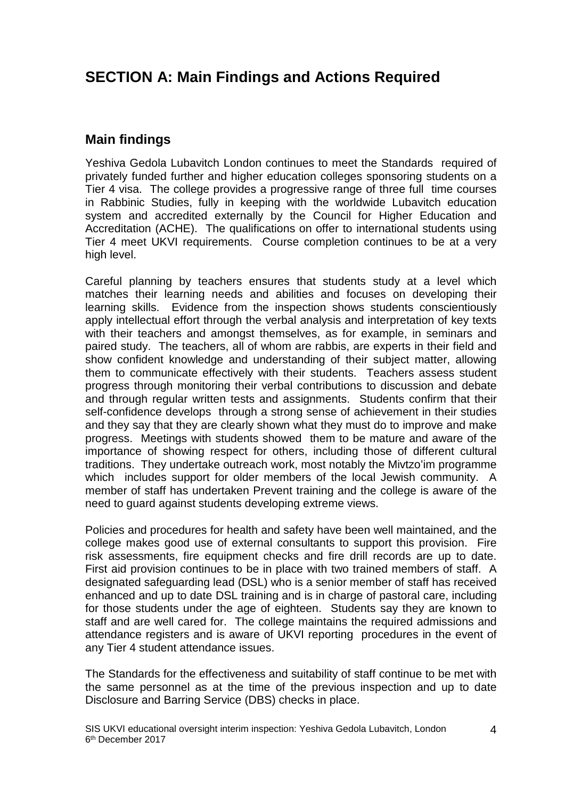## **SECTION A: Main Findings and Actions Required**

#### **Main findings**

Yeshiva Gedola Lubavitch London continues to meet the Standards required of privately funded further and higher education colleges sponsoring students on a Tier 4 visa. The college provides a progressive range of three full time courses in Rabbinic Studies, fully in keeping with the worldwide Lubavitch education system and accredited externally by the Council for Higher Education and Accreditation (ACHE). The qualifications on offer to international students using Tier 4 meet UKVI requirements. Course completion continues to be at a very high level.

Careful planning by teachers ensures that students study at a level which matches their learning needs and abilities and focuses on developing their learning skills. Evidence from the inspection shows students conscientiously apply intellectual effort through the verbal analysis and interpretation of key texts with their teachers and amongst themselves, as for example, in seminars and paired study. The teachers, all of whom are rabbis, are experts in their field and show confident knowledge and understanding of their subject matter, allowing them to communicate effectively with their students. Teachers assess student progress through monitoring their verbal contributions to discussion and debate and through regular written tests and assignments. Students confirm that their self-confidence develops through a strong sense of achievement in their studies and they say that they are clearly shown what they must do to improve and make progress. Meetings with students showed them to be mature and aware of the importance of showing respect for others, including those of different cultural traditions. They undertake outreach work, most notably the Mivtzo'im programme which includes support for older members of the local Jewish community. A member of staff has undertaken Prevent training and the college is aware of the need to guard against students developing extreme views.

Policies and procedures for health and safety have been well maintained, and the college makes good use of external consultants to support this provision. Fire risk assessments, fire equipment checks and fire drill records are up to date. First aid provision continues to be in place with two trained members of staff. A designated safeguarding lead (DSL) who is a senior member of staff has received enhanced and up to date DSL training and is in charge of pastoral care, including for those students under the age of eighteen. Students say they are known to staff and are well cared for. The college maintains the required admissions and attendance registers and is aware of UKVI reporting procedures in the event of any Tier 4 student attendance issues.

The Standards for the effectiveness and suitability of staff continue to be met with the same personnel as at the time of the previous inspection and up to date Disclosure and Barring Service (DBS) checks in place.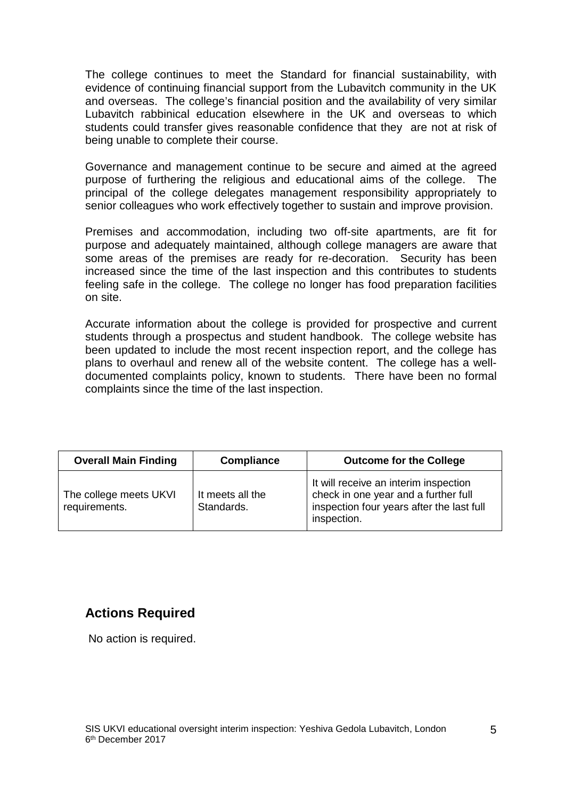The college continues to meet the Standard for financial sustainability, with evidence of continuing financial support from the Lubavitch community in the UK and overseas. The college's financial position and the availability of very similar Lubavitch rabbinical education elsewhere in the UK and overseas to which students could transfer gives reasonable confidence that they are not at risk of being unable to complete their course.

Governance and management continue to be secure and aimed at the agreed purpose of furthering the religious and educational aims of the college. The principal of the college delegates management responsibility appropriately to senior colleagues who work effectively together to sustain and improve provision.

Premises and accommodation, including two off-site apartments, are fit for purpose and adequately maintained, although college managers are aware that some areas of the premises are ready for re-decoration. Security has been increased since the time of the last inspection and this contributes to students feeling safe in the college. The college no longer has food preparation facilities on site.

Accurate information about the college is provided for prospective and current students through a prospectus and student handbook. The college website has been updated to include the most recent inspection report, and the college has plans to overhaul and renew all of the website content. The college has a welldocumented complaints policy, known to students. There have been no formal complaints since the time of the last inspection.

| <b>Overall Main Finding</b>             | <b>Compliance</b>              | <b>Outcome for the College</b>                                                                                                            |
|-----------------------------------------|--------------------------------|-------------------------------------------------------------------------------------------------------------------------------------------|
| The college meets UKVI<br>requirements. | It meets all the<br>Standards. | It will receive an interim inspection<br>check in one year and a further full<br>inspection four years after the last full<br>inspection. |

#### **Actions Required**

No action is required.